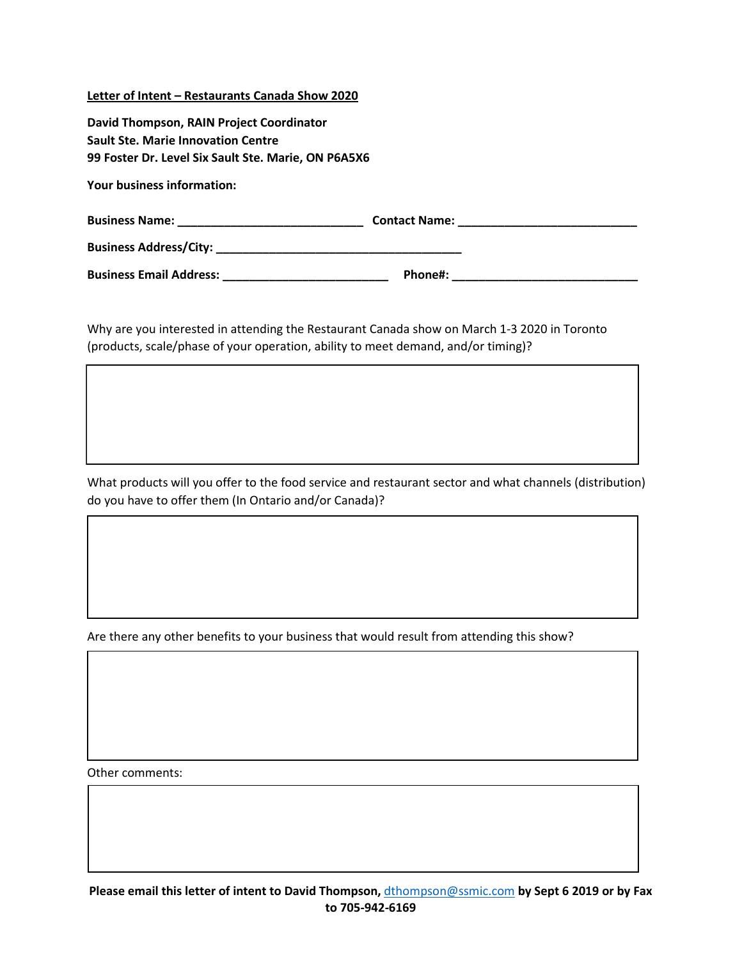## **Letter of Intent – Restaurants Canada Show 2020**

| David Thompson, RAIN Project Coordinator                                                                                                                                                                                            |         |  |
|-------------------------------------------------------------------------------------------------------------------------------------------------------------------------------------------------------------------------------------|---------|--|
| <b>Sault Ste. Marie Innovation Centre</b>                                                                                                                                                                                           |         |  |
| 99 Foster Dr. Level Six Sault Ste. Marie, ON P6A5X6                                                                                                                                                                                 |         |  |
| <b>Your business information:</b>                                                                                                                                                                                                   |         |  |
|                                                                                                                                                                                                                                     |         |  |
|                                                                                                                                                                                                                                     |         |  |
| <b>Business Email Address:</b> Management of the Management of the Management of the Management of the Management of the Management of the Management of the Management of the Management of the Management of the Management of th | Phone#: |  |

Why are you interested in attending the Restaurant Canada show on March 1-3 2020 in Toronto (products, scale/phase of your operation, ability to meet demand, and/or timing)?

What products will you offer to the food service and restaurant sector and what channels (distribution) do you have to offer them (In Ontario and/or Canada)?

Are there any other benefits to your business that would result from attending this show?

Other comments: